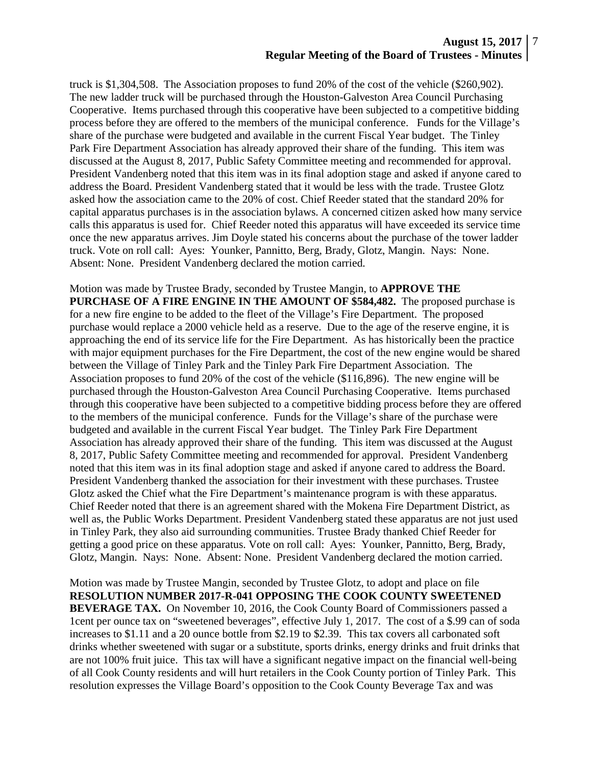truck is \$1,304,508. The Association proposes to fund 20% of the cost of the vehicle (\$260,902). The new ladder truck will be purchased through the Houston-Galveston Area Council Purchasing Cooperative. Items purchased through this cooperative have been subjected to a competitive bidding process before they are offered to the members of the municipal conference. Funds for the Village's share of the purchase were budgeted and available in the current Fiscal Year budget. The Tinley Park Fire Department Association has already approved their share of the funding. This item was discussed at the August 8, 2017, Public Safety Committee meeting and recommended for approval. President Vandenberg noted that this item was in its final adoption stage and asked if anyone cared to address the Board. President Vandenberg stated that it would be less with the trade. Trustee Glotz asked how the association came to the 20% of cost. Chief Reeder stated that the standard 20% for capital apparatus purchases is in the association bylaws. A concerned citizen asked how many service calls this apparatus is used for. Chief Reeder noted this apparatus will have exceeded its service time once the new apparatus arrives. Jim Doyle stated his concerns about the purchase of the tower ladder truck. Vote on roll call: Ayes: Younker, Pannitto, Berg, Brady, Glotz, Mangin. Nays: None. Absent: None. President Vandenberg declared the motion carried.

Motion was made by Trustee Brady, seconded by Trustee Mangin, to **APPROVE THE PURCHASE OF A FIRE ENGINE IN THE AMOUNT OF \$584,482.** The proposed purchase is for a new fire engine to be added to the fleet of the Village's Fire Department. The proposed purchase would replace a 2000 vehicle held as a reserve. Due to the age of the reserve engine, it is approaching the end of its service life for the Fire Department. As has historically been the practice with major equipment purchases for the Fire Department, the cost of the new engine would be shared between the Village of Tinley Park and the Tinley Park Fire Department Association. The Association proposes to fund 20% of the cost of the vehicle (\$116,896). The new engine will be purchased through the Houston-Galveston Area Council Purchasing Cooperative. Items purchased through this cooperative have been subjected to a competitive bidding process before they are offered to the members of the municipal conference. Funds for the Village's share of the purchase were budgeted and available in the current Fiscal Year budget. The Tinley Park Fire Department Association has already approved their share of the funding. This item was discussed at the August 8, 2017, Public Safety Committee meeting and recommended for approval. President Vandenberg noted that this item was in its final adoption stage and asked if anyone cared to address the Board. President Vandenberg thanked the association for their investment with these purchases. Trustee Glotz asked the Chief what the Fire Department's maintenance program is with these apparatus. Chief Reeder noted that there is an agreement shared with the Mokena Fire Department District, as well as, the Public Works Department. President Vandenberg stated these apparatus are not just used in Tinley Park, they also aid surrounding communities. Trustee Brady thanked Chief Reeder for getting a good price on these apparatus. Vote on roll call: Ayes: Younker, Pannitto, Berg, Brady, Glotz, Mangin. Nays: None. Absent: None. President Vandenberg declared the motion carried.

Motion was made by Trustee Mangin, seconded by Trustee Glotz, to adopt and place on file **RESOLUTION NUMBER 2017-R-041 OPPOSING THE COOK COUNTY SWEETENED BEVERAGE TAX.** On November 10, 2016, the Cook County Board of Commissioners passed a 1cent per ounce tax on "sweetened beverages", effective July 1, 2017. The cost of a \$.99 can of soda increases to \$1.11 and a 20 ounce bottle from \$2.19 to \$2.39. This tax covers all carbonated soft drinks whether sweetened with sugar or a substitute, sports drinks, energy drinks and fruit drinks that are not 100% fruit juice. This tax will have a significant negative impact on the financial well-being of all Cook County residents and will hurt retailers in the Cook County portion of Tinley Park. This resolution expresses the Village Board's opposition to the Cook County Beverage Tax and was